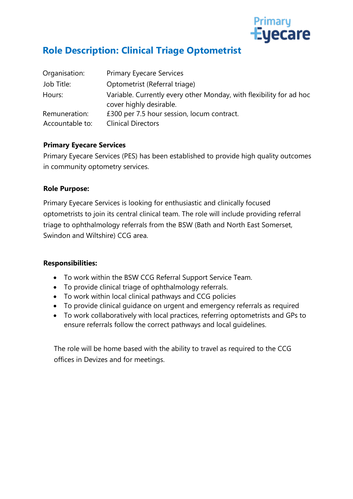

## **Role Description: Clinical Triage Optometrist**

| Organisation:                    | <b>Primary Eyecare Services</b>                                                                |  |
|----------------------------------|------------------------------------------------------------------------------------------------|--|
| Job Title:                       | Optometrist (Referral triage)                                                                  |  |
| Hours:                           | Variable. Currently every other Monday, with flexibility for ad hoc<br>cover highly desirable. |  |
| Remuneration:<br>Accountable to: | £300 per 7.5 hour session, locum contract.<br><b>Clinical Directors</b>                        |  |
|                                  |                                                                                                |  |

### **Primary Eyecare Services**

Primary Eyecare Services (PES) has been established to provide high quality outcomes in community optometry services.

### **Role Purpose:**

Primary Eyecare Services is looking for enthusiastic and clinically focused optometrists to join its central clinical team. The role will include providing referral triage to ophthalmology referrals from the BSW (Bath and North East Somerset, Swindon and Wiltshire) CCG area.

#### **Responsibilities:**

- To work within the BSW CCG Referral Support Service Team.
- To provide clinical triage of ophthalmology referrals.
- To work within local clinical pathways and CCG policies
- To provide clinical guidance on urgent and emergency referrals as required
- To work collaboratively with local practices, referring optometrists and GPs to ensure referrals follow the correct pathways and local guidelines.

The role will be home based with the ability to travel as required to the CCG offices in Devizes and for meetings.